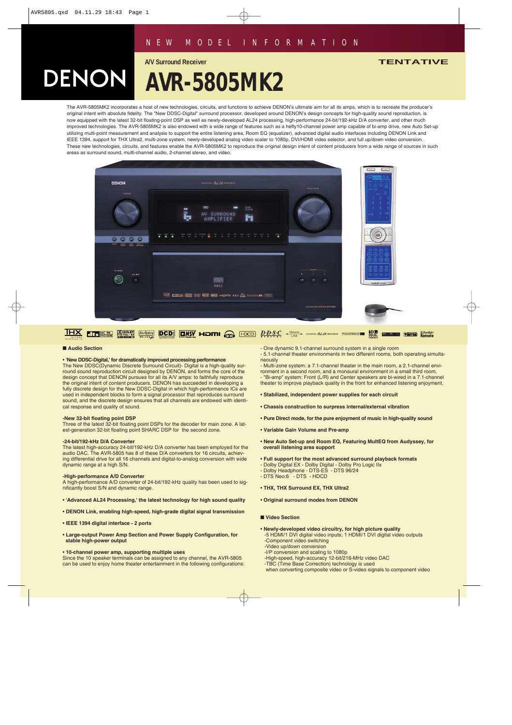## *NEW MODEL I N F ORMATION*

**A/V Surround Receiver TENTATIVE**

# **AVR-5805MK2**

The AVR-5805MK2 incorporates a host of new technologies, circuits, and functions to achieve DENON's ultimate aim for all its amps, which is to recreate the producer's original intent with absolute fidelity. The "New DDSC-Digital" surround processor, developed around DENON's design concepts for high-quality sound reproduction, is now equipped with the latest 32-bit floating-point DSP as well as newly-developed AL24 processing, high-performance 24-bit/192-kHz D/A converter, and other much improved technologies. The AVR-5805MK2 is also endowed with a wide range of features such as a hefty10-channel power amp capable of bi-amp drive, new Auto Set-up utilizing multi-point measurement and analysis to support the entire listening area, Room EQ (equalizer), advanced digital audio interfaces including DENON Link and IEEE 1394, support for THX Ultra2, multi-zone system, newly-developed analog video scaler to 1080p, DVI/HDMI video selector, and full up/down video conversion. These new technologies, circuits, and features enable the AVR-5805MK2 to reproduce the original design intent of content producers from a wide range of sources in such areas as surround sound, multi-channel audio, 2-channel stereo, and video.





#### ■ **Audio Section**

DENON

#### • **'New DDSC-Digital,' for dramatically improved processing performance**

The New DDSC(Dynamic Discrete Surround Circuit)- Digital is a high-quality surround sound reproduction circuit designed by DENON, and forms the core of the design concept that DENON pursues for all its A/V amps: to faithfully reproduce the original intent of content producers. DENON has succeeded in developing a fully discrete design for the New DDSC-Digital in which high-performance ICs are used in independent blocks to form a signal processor that reproduces surround sound, and the discrete design ensures that all channels are endowed with identical response and quality of sound.

#### **-New 32-bit floating point DSP**

Three of the latest 32-bit floating point DSPs for the decoder for main zone. A latest-generation 32-bit floating point SHARC DSP for the second zone.

#### **-24-bit/192-kHz D/A Converter**

The latest high-accuracy 24-bit/192-kHz D/A converter has been employed for the audio DAC. The AVR-5805 has 8 of these D/A converters for 16 circuits, achieving differential drive for all 16 channels and digital-to-analog conversion with wide dynamic range at a high S/N.

#### **-High-performance A/D Converter**

A high-performance A/D converter of 24-bit/192-kHz quality has been used to significantly boost S/N and dynamic range.

- **'Advanced AL24 Processing,' the latest technology for high sound quality**
- **DENON Link, enabling high-speed, high-grade digital signal transmission**
- **IEEE 1394 digital interface 2 ports**
- **Large-output Power Amp Section and Power Supply Configuration, for stable high-power output**

#### • **10-channel power amp, supporting multiple uses**

Since the 10 speaker terminals can be assigned to any channel, the AVR-5805 can be used to enjoy home theater entertainment in the following configurations: - One dynamic 9.1-channel surround system in a single room

- 5.1-channel theater environments in two different rooms, both operating simultaneously

- Multi-zone system: a 7.1-channel theater in the main room, a 2.1-channel environment in a second room, and a monaural environment in a small third room. - "Bi-amp" system: Front (L/R) and Center speakers are bi-wired in a 7.1-channel theater to improve playback quality in the front for enhanced listening enjoyment.

- **Stabilized, independent power supplies for each circuit**
- **Chassis construction to surpress internal/external vibration**
- **Pure Direct mode, for the pure enjoyment of music in high-quality sound**
- **Variable Gain Volume and Pre-amp**
- **New Auto Set-up and Room EQ, Featuring MultEQ from Audyssey, for overall listening area support**
- **Full support for the most advanced surround playback formats**
- Dolby Digital EX Dolby Digital Dolby Pro Logic IIx
- Dolby Headphone DTS-ES DTS 96/24
- DTS Neo:6 DTS HDCD

#### • **THX, THX Surround EX, THX Ultra2**

• **Original surround modes from DENON**

#### ■ **Video Section**

- **Newly-developed video circuitry, for high picture quality** -5 HDMI/1 DVI digital video inputs; 1 HDMI/1 DVI digital video outputs -Component video switching -Video up/down conversion -I/P conversion and scaling to 1080p
- -High-speed, high-accuracy 12-bit/216-MHz video DAC
- -TBC (Time Base Correction) technology is used
- when converting composite video or S-video signals to component video